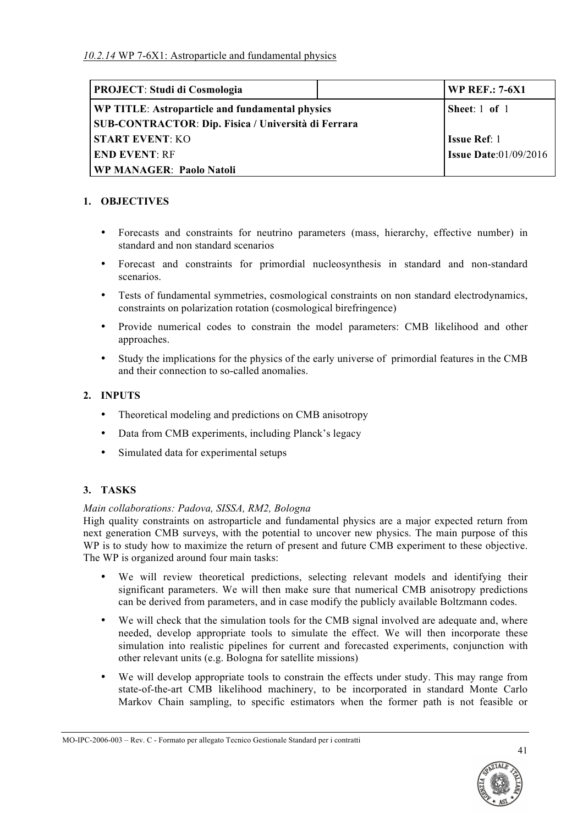| <b>PROJECT: Studi di Cosmologia</b>                        | <b>WP REF.: 7-6X1</b>        |
|------------------------------------------------------------|------------------------------|
| <b>WP TITLE: Astroparticle and fundamental physics</b>     | Sheet: $1$ of $1$            |
| <b>SUB-CONTRACTOR: Dip. Fisica / Università di Ferrara</b> |                              |
| <b>START EVENT: KO</b>                                     | <b>Issue Ref: 1</b>          |
| <b>END EVENT: RF</b>                                       | <b>Issue Date:01/09/2016</b> |
| <b>WP MANAGER: Paolo Natoli</b>                            |                              |

# **1. OBJECTIVES**

- Forecasts and constraints for neutrino parameters (mass, hierarchy, effective number) in standard and non standard scenarios
- Forecast and constraints for primordial nucleosynthesis in standard and non-standard scenarios.
- Tests of fundamental symmetries, cosmological constraints on non standard electrodynamics, constraints on polarization rotation (cosmological birefringence)
- Provide numerical codes to constrain the model parameters: CMB likelihood and other approaches.
- Study the implications for the physics of the early universe of primordial features in the CMB and their connection to so-called anomalies.

# **2. INPUTS**

- Theoretical modeling and predictions on CMB anisotropy
- Data from CMB experiments, including Planck's legacy
- Simulated data for experimental setups

# **3. TASKS**

## *Main collaborations: Padova, SISSA, RM2, Bologna*

High quality constraints on astroparticle and fundamental physics are a major expected return from next generation CMB surveys, with the potential to uncover new physics. The main purpose of this WP is to study how to maximize the return of present and future CMB experiment to these objective. The WP is organized around four main tasks:

- We will review theoretical predictions, selecting relevant models and identifying their significant parameters. We will then make sure that numerical CMB anisotropy predictions can be derived from parameters, and in case modify the publicly available Boltzmann codes.
- We will check that the simulation tools for the CMB signal involved are adequate and, where needed, develop appropriate tools to simulate the effect. We will then incorporate these simulation into realistic pipelines for current and forecasted experiments, conjunction with other relevant units (e.g. Bologna for satellite missions)
- We will develop appropriate tools to constrain the effects under study. This may range from state-of-the-art CMB likelihood machinery, to be incorporated in standard Monte Carlo Markov Chain sampling, to specific estimators when the former path is not feasible or